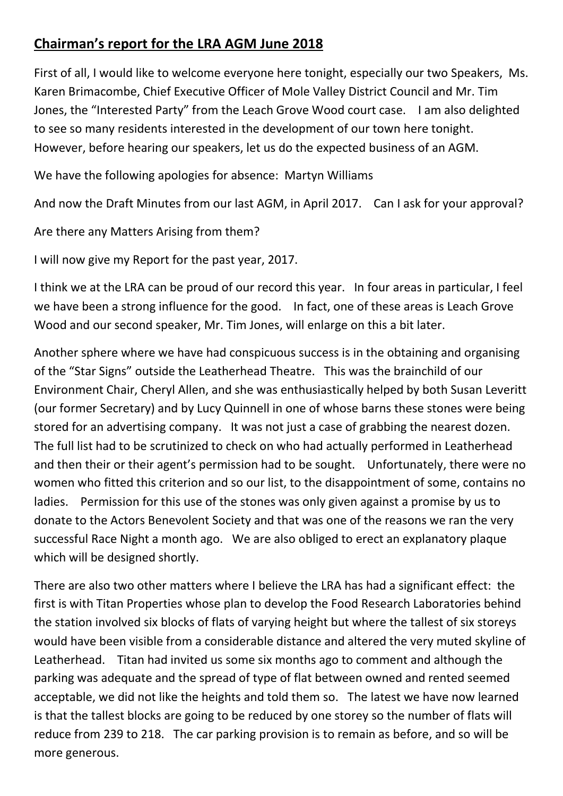## **Chairman's report for the LRA AGM June 2018**

First of all, I would like to welcome everyone here tonight, especially our two Speakers, Ms. Karen Brimacombe, Chief Executive Officer of Mole Valley District Council and Mr. Tim Jones, the "Interested Party" from the Leach Grove Wood court case. I am also delighted to see so many residents interested in the development of our town here tonight. However, before hearing our speakers, let us do the expected business of an AGM.

We have the following apologies for absence: Martyn Williams

And now the Draft Minutes from our last AGM, in April 2017. Can I ask for your approval?

Are there any Matters Arising from them?

I will now give my Report for the past year, 2017.

I think we at the LRA can be proud of our record this year. In four areas in particular, I feel we have been a strong influence for the good. In fact, one of these areas is Leach Grove Wood and our second speaker, Mr. Tim Jones, will enlarge on this a bit later.

Another sphere where we have had conspicuous success is in the obtaining and organising of the "Star Signs" outside the Leatherhead Theatre. This was the brainchild of our Environment Chair, Cheryl Allen, and she was enthusiastically helped by both Susan Leveritt (our former Secretary) and by Lucy Quinnell in one of whose barns these stones were being stored for an advertising company. It was not just a case of grabbing the nearest dozen. The full list had to be scrutinized to check on who had actually performed in Leatherhead and then their or their agent's permission had to be sought. Unfortunately, there were no women who fitted this criterion and so our list, to the disappointment of some, contains no ladies. Permission for this use of the stones was only given against a promise by us to donate to the Actors Benevolent Society and that was one of the reasons we ran the very successful Race Night a month ago. We are also obliged to erect an explanatory plaque which will be designed shortly.

There are also two other matters where I believe the LRA has had a significant effect: the first is with Titan Properties whose plan to develop the Food Research Laboratories behind the station involved six blocks of flats of varying height but where the tallest of six storeys would have been visible from a considerable distance and altered the very muted skyline of Leatherhead. Titan had invited us some six months ago to comment and although the parking was adequate and the spread of type of flat between owned and rented seemed acceptable, we did not like the heights and told them so. The latest we have now learned is that the tallest blocks are going to be reduced by one storey so the number of flats will reduce from 239 to 218. The car parking provision is to remain as before, and so will be more generous.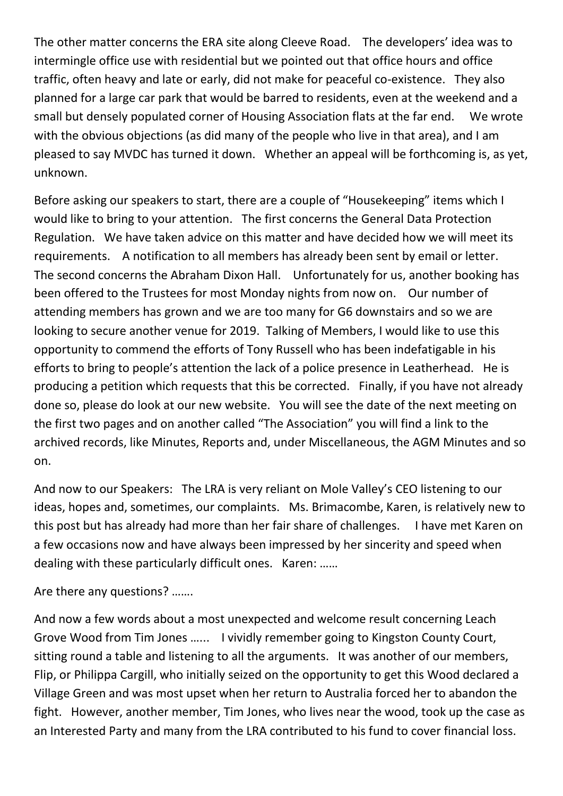The other matter concerns the ERA site along Cleeve Road. The developers' idea was to intermingle office use with residential but we pointed out that office hours and office traffic, often heavy and late or early, did not make for peaceful co-existence. They also planned for a large car park that would be barred to residents, even at the weekend and a small but densely populated corner of Housing Association flats at the far end. We wrote with the obvious objections (as did many of the people who live in that area), and I am pleased to say MVDC has turned it down. Whether an appeal will be forthcoming is, as yet, unknown.

Before asking our speakers to start, there are a couple of "Housekeeping" items which I would like to bring to your attention. The first concerns the General Data Protection Regulation. We have taken advice on this matter and have decided how we will meet its requirements. A notification to all members has already been sent by email or letter. The second concerns the Abraham Dixon Hall. Unfortunately for us, another booking has been offered to the Trustees for most Monday nights from now on. Our number of attending members has grown and we are too many for G6 downstairs and so we are looking to secure another venue for 2019. Talking of Members, I would like to use this opportunity to commend the efforts of Tony Russell who has been indefatigable in his efforts to bring to people's attention the lack of a police presence in Leatherhead. He is producing a petition which requests that this be corrected. Finally, if you have not already done so, please do look at our new website. You will see the date of the next meeting on the first two pages and on another called "The Association" you will find a link to the archived records, like Minutes, Reports and, under Miscellaneous, the AGM Minutes and so on.

And now to our Speakers: The LRA is very reliant on Mole Valley's CEO listening to our ideas, hopes and, sometimes, our complaints. Ms. Brimacombe, Karen, is relatively new to this post but has already had more than her fair share of challenges. I have met Karen on a few occasions now and have always been impressed by her sincerity and speed when dealing with these particularly difficult ones. Karen: ……

Are there any questions? …….

And now a few words about a most unexpected and welcome result concerning Leach Grove Wood from Tim Jones …... I vividly remember going to Kingston County Court, sitting round a table and listening to all the arguments. It was another of our members, Flip, or Philippa Cargill, who initially seized on the opportunity to get this Wood declared a Village Green and was most upset when her return to Australia forced her to abandon the fight. However, another member, Tim Jones, who lives near the wood, took up the case as an Interested Party and many from the LRA contributed to his fund to cover financial loss.